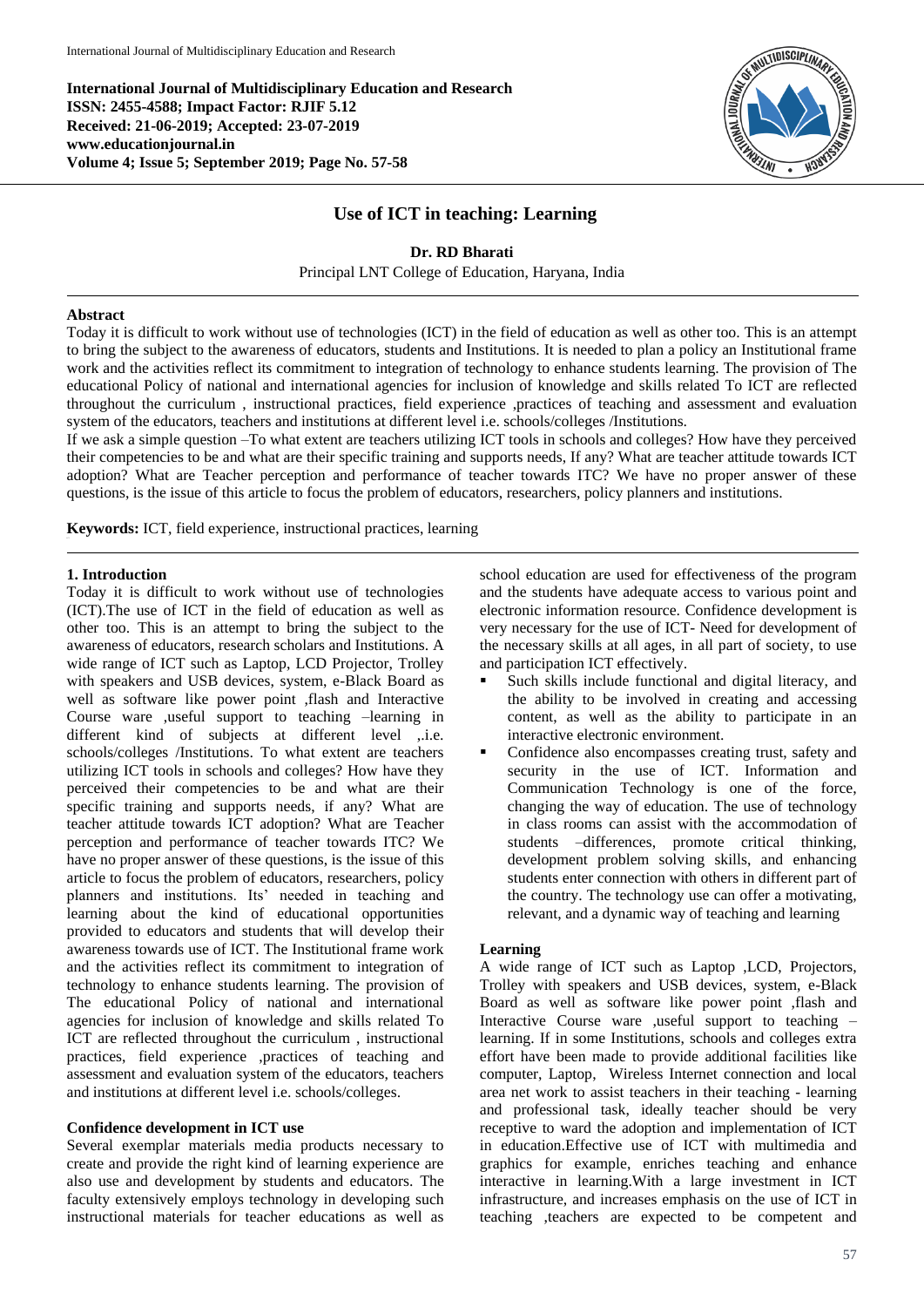**International Journal of Multidisciplinary Education and Research ISSN: 2455-4588; Impact Factor: RJIF 5.12 Received: 21-06-2019; Accepted: 23-07-2019 www.educationjournal.in Volume 4; Issue 5; September 2019; Page No. 57-58**



# **Use of ICT in teaching: Learning**

# **Dr. RD Bharati**  Principal LNT College of Education, Haryana, India

#### **Abstract**

Today it is difficult to work without use of technologies (ICT) in the field of education as well as other too. This is an attempt to bring the subject to the awareness of educators, students and Institutions. It is needed to plan a policy an Institutional frame work and the activities reflect its commitment to integration of technology to enhance students learning. The provision of The educational Policy of national and international agencies for inclusion of knowledge and skills related To ICT are reflected throughout the curriculum , instructional practices, field experience ,practices of teaching and assessment and evaluation system of the educators, teachers and institutions at different level i.e. schools/colleges /Institutions.

If we ask a simple question –To what extent are teachers utilizing ICT tools in schools and colleges? How have they perceived their competencies to be and what are their specific training and supports needs, If any? What are teacher attitude towards ICT adoption? What are Teacher perception and performance of teacher towards ITC? We have no proper answer of these questions, is the issue of this article to focus the problem of educators, researchers, policy planners and institutions.

**Keywords:** ICT, field experience, instructional practices, learning

## **1. Introduction**

Today it is difficult to work without use of technologies (ICT).The use of ICT in the field of education as well as other too. This is an attempt to bring the subject to the awareness of educators, research scholars and Institutions. A wide range of ICT such as Laptop, LCD Projector, Trolley with speakers and USB devices, system, e-Black Board as well as software like power point ,flash and Interactive Course ware ,useful support to teaching –learning in different kind of subjects at different level ,.i.e. schools/colleges /Institutions. To what extent are teachers utilizing ICT tools in schools and colleges? How have they perceived their competencies to be and what are their specific training and supports needs, if any? What are teacher attitude towards ICT adoption? What are Teacher perception and performance of teacher towards ITC? We have no proper answer of these questions, is the issue of this article to focus the problem of educators, researchers, policy planners and institutions. Its' needed in teaching and learning about the kind of educational opportunities provided to educators and students that will develop their awareness towards use of ICT. The Institutional frame work and the activities reflect its commitment to integration of technology to enhance students learning. The provision of The educational Policy of national and international agencies for inclusion of knowledge and skills related To ICT are reflected throughout the curriculum , instructional practices, field experience ,practices of teaching and assessment and evaluation system of the educators, teachers and institutions at different level i.e. schools/colleges.

## **Confidence development in ICT use**

Several exemplar materials media products necessary to create and provide the right kind of learning experience are also use and development by students and educators. The faculty extensively employs technology in developing such instructional materials for teacher educations as well as

school education are used for effectiveness of the program and the students have adequate access to various point and electronic information resource. Confidence development is very necessary for the use of ICT- Need for development of the necessary skills at all ages, in all part of society, to use and participation ICT effectively.

- Such skills include functional and digital literacy, and the ability to be involved in creating and accessing content, as well as the ability to participate in an interactive electronic environment.
- Confidence also encompasses creating trust, safety and security in the use of ICT. Information and Communication Technology is one of the force, changing the way of education. The use of technology in class rooms can assist with the accommodation of students –differences, promote critical thinking, development problem solving skills, and enhancing students enter connection with others in different part of the country. The technology use can offer a motivating, relevant, and a dynamic way of teaching and learning

## **Learning**

A wide range of ICT such as Laptop ,LCD, Projectors, Trolley with speakers and USB devices, system, e-Black Board as well as software like power point ,flash and Interactive Course ware ,useful support to teaching – learning. If in some Institutions, schools and colleges extra effort have been made to provide additional facilities like computer, Laptop, Wireless Internet connection and local area net work to assist teachers in their teaching - learning and professional task, ideally teacher should be very receptive to ward the adoption and implementation of ICT in education.Effective use of ICT with multimedia and graphics for example, enriches teaching and enhance interactive in learning.With a large investment in ICT infrastructure, and increases emphasis on the use of ICT in teaching ,teachers are expected to be competent and